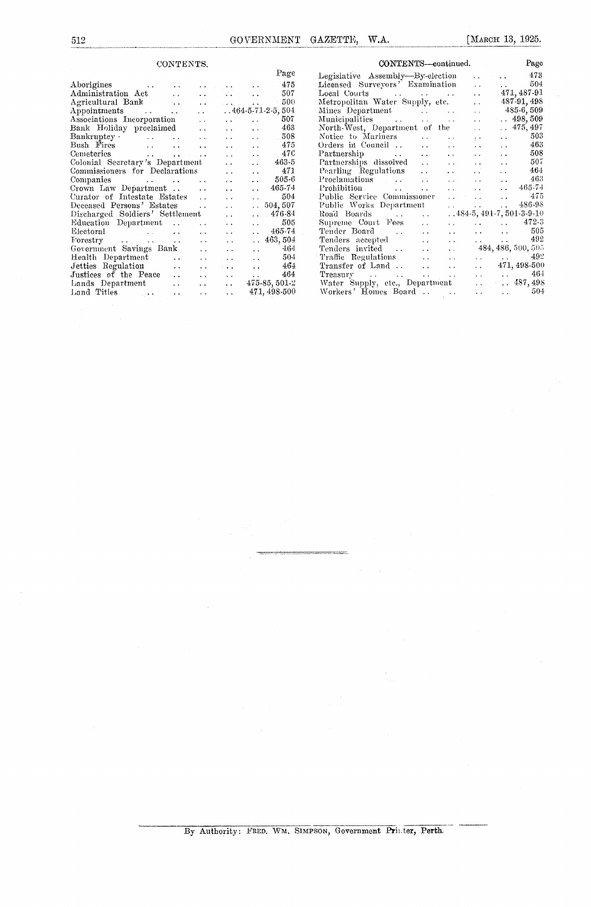| CONTENTS.                                                                                                 |                      |                      |                      |                             |
|-----------------------------------------------------------------------------------------------------------|----------------------|----------------------|----------------------|-----------------------------|
|                                                                                                           |                      |                      |                      | Page                        |
| $\rm Aborigines$<br><b>Contractor</b>                                                                     |                      |                      |                      | 475                         |
| Administration Act                                                                                        |                      |                      |                      | 507                         |
| Agricultural Bank                                                                                         |                      |                      |                      | 500                         |
| Appointments<br><b><i>Committee States</i></b>                                                            | $\ddotsc$            |                      |                      | $.464 - 5 - 71 - 2 - 5,504$ |
| Associations Incorporation                                                                                | $\ddot{\phantom{a}}$ |                      | $\sim$ .             | 507                         |
| Bank Holiday preclaimed                                                                                   | $\ddot{\phantom{a}}$ | $\ddot{\phantom{0}}$ | . .                  | 463                         |
| $\rm {Bankruptcy}$ $\cdot$<br><b>Contractor</b><br>$\ddotsc$                                              |                      |                      |                      | 508                         |
| Bush Fires<br>and the state<br>$\ddot{\phantom{a}}$                                                       |                      |                      | $\ddot{\phantom{a}}$ | 475                         |
| Cemeteries<br><b>Contract Contract</b><br>$\mathbf{r}$ and $\mathbf{r}$ and $\mathbf{r}$ and $\mathbf{r}$ |                      | $\ddot{\phantom{0}}$ | $\ddot{\phantom{0}}$ | 476                         |
| Colonial Secretary's Department                                                                           |                      |                      |                      | $463 - 5$                   |
| Commissioners for Declarations                                                                            |                      |                      | $\ddot{\phantom{a}}$ | $-471$                      |
| Companies<br>and the state of the state                                                                   | $\ddot{\phantom{0}}$ | . .                  | $\ddot{\phantom{0}}$ | $505-6$                     |
| Crown Law Department                                                                                      |                      |                      | $\ddot{\phantom{a}}$ | 465-74                      |
| Curator of Intestate Estates                                                                              | $\ddot{\phantom{0}}$ | $\ddot{\phantom{a}}$ |                      | 504                         |
| Deceased Persons' Estates                                                                                 | $\ddot{\phantom{0}}$ | $\ddot{\phantom{0}}$ | $\ddotsc$            | 504, 507                    |
| Discharged Soldiers' Settlement                                                                           |                      |                      |                      | $. 476-84$                  |
| Education Department<br>$\ddot{\phantom{a}}$                                                              | $\ddotsc$            | $\ddot{\phantom{1}}$ | $\sim$ $\sim$        | 505                         |
| Electoral<br>$\ddot{\phantom{a}}$<br>. .                                                                  | . .                  | $\ddot{\phantom{0}}$ |                      | 465-74                      |
| Forestry<br>$\mathcal{L}^{\mathcal{L}}(\mathbf{X},\mathbf{Y})$ . The set of<br>$\ddot{\phantom{a}}$       |                      |                      |                      | . 463,504                   |
| Government Savings Bank                                                                                   |                      | $\sim$               | . .                  | 464                         |
| Health Department<br>$\ddot{\phantom{a}}$                                                                 | $\ddot{\phantom{0}}$ | $\ddot{\phantom{0}}$ | $\ddot{\phantom{a}}$ | -504                        |
| Jetties Regulation<br>$\ddot{\phantom{a}}$                                                                |                      |                      | $\sim 10^{-11}$      | 464                         |
| Justices of the Peace<br>$\ddot{\phantom{a}}$                                                             | $\cdot$ $\cdot$      | $\ddot{\phantom{0}}$ |                      | 464                         |
| Lands Department<br>. .                                                                                   | <b>Participants</b>  | $\ddot{\phantom{0}}$ |                      | 475-85, 501-2               |
| Land Titles                                                                                               |                      |                      |                      | 471, 498-500                |
| $\ddot{\phantom{0}}$                                                                                      | $\ddot{\phantom{a}}$ | $\ddot{\phantom{1}}$ |                      |                             |

| CONTERNTS—continued.                                                   | Page                                                                                 |                                                       |
|------------------------------------------------------------------------|--------------------------------------------------------------------------------------|-------------------------------------------------------|
| Legislative Assembly-By-election                                       |                                                                                      | $\cdot$ 473                                           |
| Licensed Surveyors' Examination                                        | $\ddot{\phantom{0}}$                                                                 | 504<br>$\mathbf{r}$ , and the state $\mathbf{r}$      |
|                                                                        | $\ddot{\phantom{0}}$                                                                 | 471, 487-91                                           |
| Metropolitan Water Supply, etc.                                        | $\ddot{\phantom{0}}$                                                                 | 487-91, 498                                           |
| Mines Department<br>and the state                                      | $\ddot{\phantom{a}}$                                                                 | $485-6,509$                                           |
| Municipalities                                                         | $\ddot{\phantom{a}}$                                                                 | $\ldots$ 498, 509                                     |
| North-West, Department of the                                          | $\ddot{\phantom{0}}$                                                                 | $\ldots$ 475, 497                                     |
| Notice to Mariners<br>$\sim$ $\sim$<br>$\ddot{\phantom{a}}$            | $\ddot{\phantom{1}}$                                                                 | 503<br>$\ddot{\phantom{a}}$                           |
| Orders in Council  .<br>$\ddot{\phantom{a}}$                           | $\ddot{\phantom{0}}$                                                                 | 463<br><b>Contractor</b>                              |
| Partnership<br>$\ddot{\phantom{a}}$ .                                  | $\ddot{\phantom{a}}$                                                                 | 508<br>$\mathbf{r}$ and $\mathbf{r}$ and $\mathbf{r}$ |
| Partnerships dissolved<br>$\sim$ $\sim$<br>$\sim$ $\sim$               | $\ddot{\phantom{0}}$                                                                 | 507<br>$\ddot{\phantom{a}}$                           |
| Pearling Regulations<br>$\sim 100$<br>$\ddot{\phantom{a}}$             | έÊ                                                                                   | 464<br>$\mathbf{r}$                                   |
| Proclamations<br>$\ddot{\phantom{0}}$                                  | $\mathbf{r}$ , and $\mathbf{r}$                                                      | 463<br>$\sim 10^{-1}$                                 |
| Prohibition<br>$\ddotsc$                                               | $\mathbf{L}$ , and $\mathbf{L}$                                                      | $\therefore$ 465-74                                   |
| Public Service Commissioner<br>$\ddot{\phantom{a}}$                    | $\mathcal{L}(\mathbf{X},\mathbf{X})$ . The same $\mathcal{L}(\mathbf{X},\mathbf{X})$ | 475                                                   |
| Public Works Department<br><b>Carl College</b>                         | and the con-                                                                         | $. 486-98$                                            |
| $\ddot{\phantom{a}}$                                                   |                                                                                      | $484-5, 491-7, 501-3-9-10$                            |
| Supreme Court Fees<br>$\ddot{\phantom{0}}$<br>$\ddot{\phantom{0}}$     |                                                                                      | $\ldots$ 472-3                                        |
| Tender Board<br>$\ddot{\phantom{0}}$<br>$\sim$ $\sim$<br>$\sim$ $\sim$ |                                                                                      | $\ldots$ 505                                          |
| Tenders accepted<br>$\ddot{\phantom{0}}$<br>$\ddot{\phantom{a}}$       |                                                                                      | $\ldots$ . 492                                        |
| Tenders invited<br>$\ddot{\phantom{0}}$<br>$\ddot{\phantom{a}}$        |                                                                                      | 484, 486, 500, 505                                    |
| Traffic Regulations<br>$\ddot{\phantom{a}}$<br>$\ddot{\phantom{a}}$    |                                                                                      | $\ldots$ 492                                          |
| Transfer of Land<br>$\ddot{\phantom{a}}$<br>$\ddot{\phantom{a}}$       | <b>Allen Control</b>                                                                 | 471, 498-500                                          |
| Treasury<br>$\mathbf{r}$ , and $\mathbf{r}$<br>$\sim$ $\sim$           |                                                                                      | $\cdots$ $\cdots$ $464$                               |
| Water Supply, etc., Department                                         | $\mathbf{r}$ , $\mathbf{r}$ , $\mathbf{r}$                                           | $\ldots$ 487, 498                                     |
| Workers' Homes Board<br>$\ddot{\phantom{0}}$                           | <b>Contract Contract</b>                                                             | $\ldots$ 504                                          |
|                                                                        |                                                                                      |                                                       |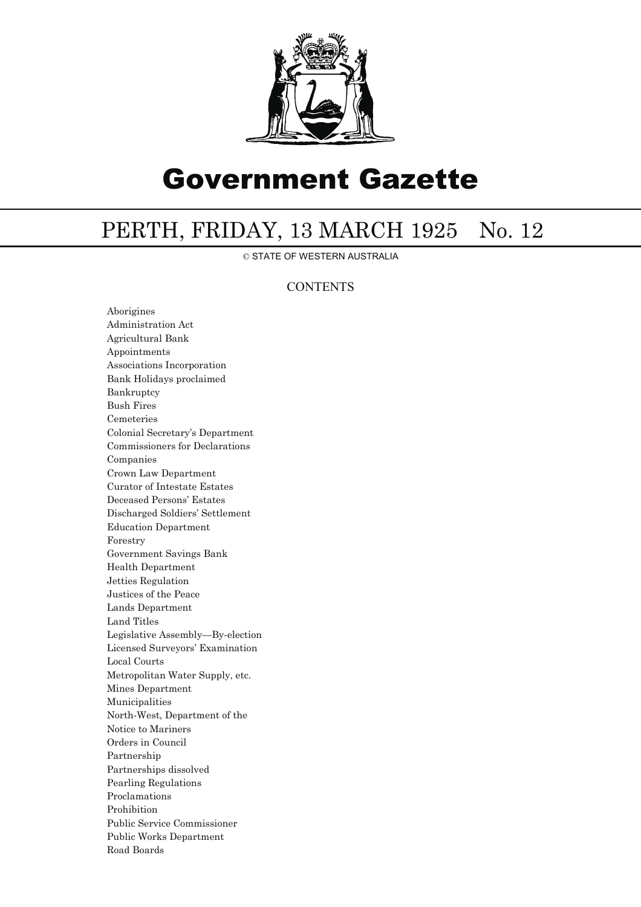

## Government Gazette

## PERTH, FRIDAY, 13 MARCH 1925 No. 12

© STATE OF WESTERN AUSTRALIA

## **CONTENTS**

Aborigines Administration Act Agricultural Bank Appointments Associations Incorporation Bank Holidays proclaimed Bankruptcy Bush Fires Cemeteries Colonial Secretary's Department Commissioners for Declarations Companies Crown Law Department Curator of Intestate Estates Deceased Persons' Estates Discharged Soldiers' Settlement Education Department Forestry Government Savings Bank Health Department Jetties Regulation Justices of the Peace Lands Department Land Titles Legislative Assembly—By-election Licensed Surveyors' Examination Local Courts Metropolitan Water Supply, etc. Mines Department Municipalities North-West, Department of the Notice to Mariners Orders in Council Partnership Partnerships dissolved Pearling Regulations Proclamations Prohibition Public Service Commissioner Public Works Department Road Boards